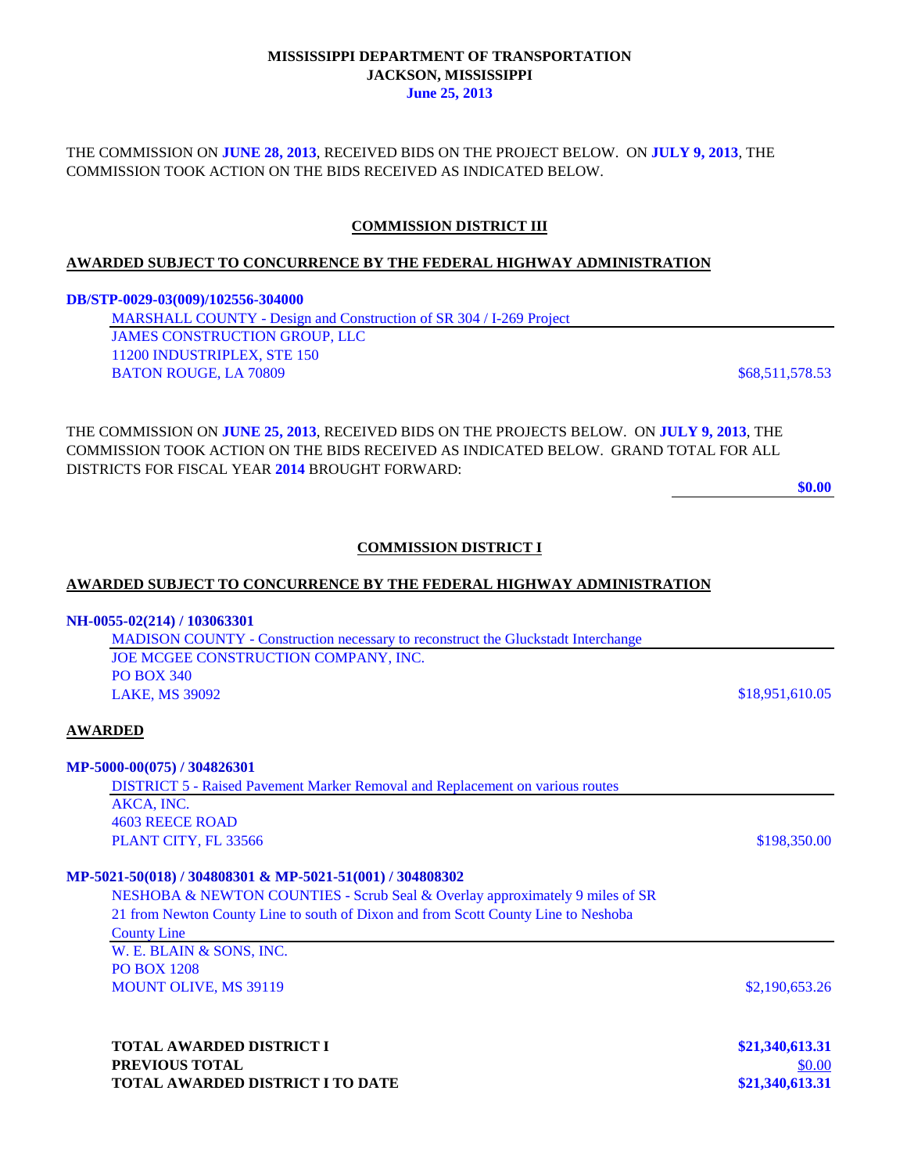### **MISSISSIPPI DEPARTMENT OF TRANSPORTATION JACKSON, MISSISSIPPI June 25, 2013**

THE COMMISSION ON **JUNE 28, 2013**, RECEIVED BIDS ON THE PROJECT BELOW. ON **JULY 9, 2013**, THE COMMISSION TOOK ACTION ON THE BIDS RECEIVED AS INDICATED BELOW.

# **COMMISSION DISTRICT III**

# **AWARDED SUBJECT TO CONCURRENCE BY THE FEDERAL HIGHWAY ADMINISTRATION**

#### **DB/STP-0029-03(009)/102556-304000**

| MARSHALL COUNTY - Design and Construction of SR 304 / I-269 Project |                 |
|---------------------------------------------------------------------|-----------------|
| JAMES CONSTRUCTION GROUP. LLC                                       |                 |
| 11200 INDUSTRIPLEX, STE 150                                         |                 |
| <b>BATON ROUGE, LA 70809</b>                                        | \$68,511,578.53 |

THE COMMISSION ON **JUNE 25, 2013**, RECEIVED BIDS ON THE PROJECTS BELOW. ON **JULY 9, 2013**, THE COMMISSION TOOK ACTION ON THE BIDS RECEIVED AS INDICATED BELOW. GRAND TOTAL FOR ALL DISTRICTS FOR FISCAL YEAR **2014** BROUGHT FORWARD:

**\$0.00**

# **COMMISSION DISTRICT I**

### **AWARDED SUBJECT TO CONCURRENCE BY THE FEDERAL HIGHWAY ADMINISTRATION**

#### **NH-0055-02(214) / 103063301**

MADISON COUNTY - Construction necessary to reconstruct the Gluckstadt Interchange JOE MCGEE CONSTRUCTION COMPANY, INC. PO BOX 340 **LAKE, MS 39092** \$18,951,610.05

### **AWARDED**

### **MP-5000-00(075) / 304826301**

DISTRICT 5 - Raised Pavement Marker Removal and Replacement on various routes AKCA, INC. 4603 REECE ROAD **PLANT CITY, FL 33566**  $$198,350.00$ 

### **MP-5021-50(018) / 304808301 & MP-5021-51(001) / 304808302**

NESHOBA & NEWTON COUNTIES - Scrub Seal & Overlay approximately 9 miles of SR 21 from Newton County Line to south of Dixon and from Scott County Line to Neshoba

County Line W. E. BLAIN & SONS, INC. PO BOX 1208 MOUNT OLIVE, MS 39119 \$2,190,653.26

**TOTAL AWARDED DISTRICT I \$21,340,613.31 PREVIOUS TOTAL** \$0.00 **TOTAL AWARDED DISTRICT I TO DATE \$21,340,613.31**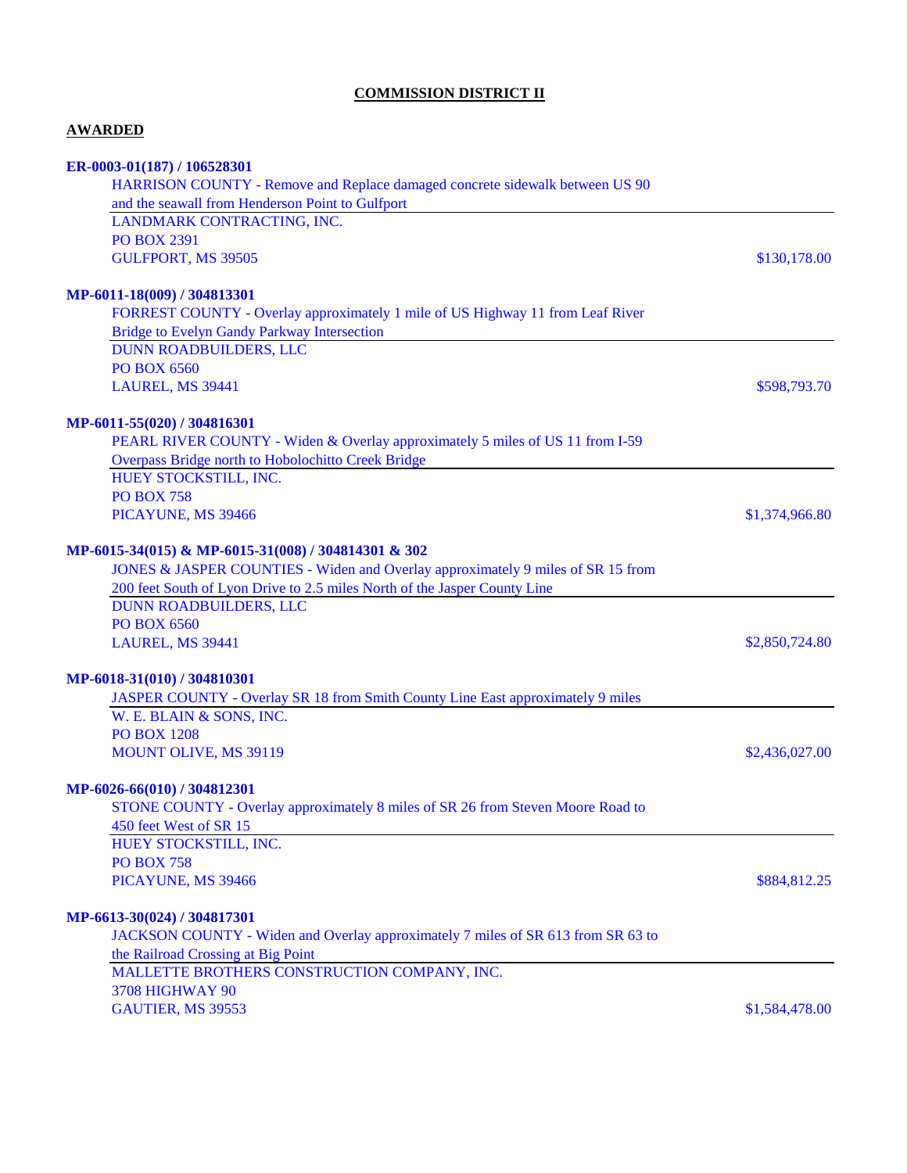# **COMMISSION DISTRICT II**

# **AWARDED**

| ER-0003-01(187) / 106528301                                                      |                |
|----------------------------------------------------------------------------------|----------------|
| HARRISON COUNTY - Remove and Replace damaged concrete sidewalk between US 90     |                |
| and the seawall from Henderson Point to Gulfport                                 |                |
| LANDMARK CONTRACTING, INC.                                                       |                |
| <b>PO BOX 2391</b>                                                               |                |
| GULFPORT, MS 39505                                                               | \$130,178.00   |
| MP-6011-18(009) / 304813301                                                      |                |
| FORREST COUNTY - Overlay approximately 1 mile of US Highway 11 from Leaf River   |                |
| <b>Bridge to Evelyn Gandy Parkway Intersection</b>                               |                |
| DUNN ROADBUILDERS, LLC                                                           |                |
| <b>PO BOX 6560</b>                                                               |                |
| LAUREL, MS 39441                                                                 | \$598,793.70   |
|                                                                                  |                |
| MP-6011-55(020) / 304816301                                                      |                |
| PEARL RIVER COUNTY - Widen & Overlay approximately 5 miles of US 11 from I-59    |                |
| Overpass Bridge north to Hobolochitto Creek Bridge                               |                |
| HUEY STOCKSTILL, INC.                                                            |                |
| <b>PO BOX 758</b>                                                                |                |
| PICAYUNE, MS 39466                                                               | \$1,374,966.80 |
| MP-6015-34(015) & MP-6015-31(008) / 304814301 & 302                              |                |
| JONES & JASPER COUNTIES - Widen and Overlay approximately 9 miles of SR 15 from  |                |
| 200 feet South of Lyon Drive to 2.5 miles North of the Jasper County Line        |                |
| <b>DUNN ROADBUILDERS, LLC</b>                                                    |                |
| <b>PO BOX 6560</b>                                                               |                |
| LAUREL, MS 39441                                                                 | \$2,850,724.80 |
|                                                                                  |                |
| MP-6018-31(010) / 304810301                                                      |                |
| JASPER COUNTY - Overlay SR 18 from Smith County Line East approximately 9 miles  |                |
| W. E. BLAIN & SONS, INC.<br><b>PO BOX 1208</b>                                   |                |
|                                                                                  |                |
| MOUNT OLIVE, MS 39119                                                            | \$2,436,027.00 |
| MP-6026-66(010) / 304812301                                                      |                |
| STONE COUNTY - Overlay approximately 8 miles of SR 26 from Steven Moore Road to  |                |
| 450 feet West of SR 15                                                           |                |
| HUEY STOCKSTILL, INC.                                                            |                |
| <b>PO BOX 758</b>                                                                |                |
| PICAYUNE, MS 39466                                                               | \$884,812.25   |
| MP-6613-30(024) / 304817301                                                      |                |
| JACKSON COUNTY - Widen and Overlay approximately 7 miles of SR 613 from SR 63 to |                |
| the Railroad Crossing at Big Point                                               |                |
| MALLETTE BROTHERS CONSTRUCTION COMPANY, INC.                                     |                |
| 3708 HIGHWAY 90                                                                  |                |
| GAUTIER, MS 39553                                                                | \$1,584,478.00 |
|                                                                                  |                |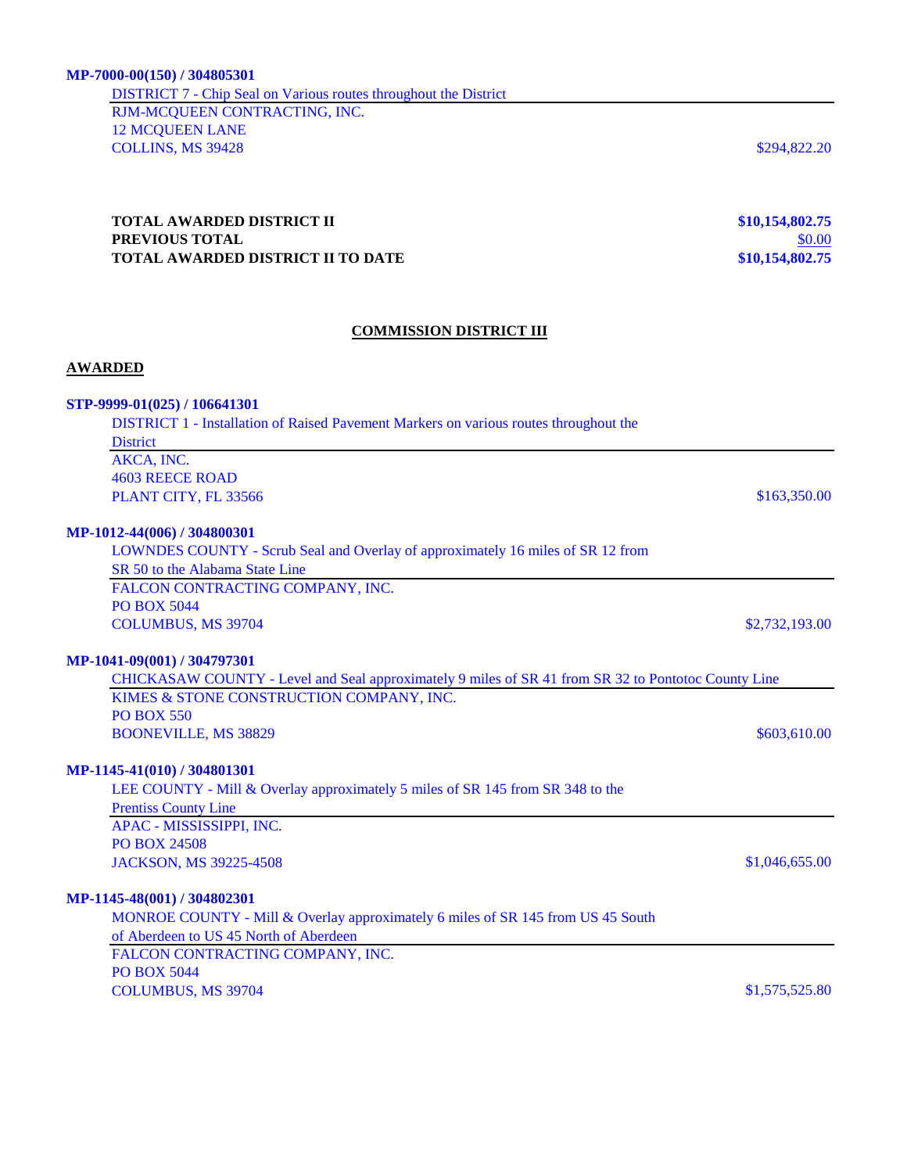DISTRICT 7 - Chip Seal on Various routes throughout the District RJM-MCQUEEN CONTRACTING, INC. 12 MCQUEEN LANE **COLLINS, MS 39428** \$294,822.20

### **TOTAL AWARDED DISTRICT II \$10,154,802.75 PREVIOUS TOTAL** \$0.00 **TOTAL AWARDED DISTRICT II TO DATE \$10,154,802.75**

### **COMMISSION DISTRICT III**

### **AWARDED**

### **STP-9999-01(025) / 106641301**

DISTRICT 1 - Installation of Raised Pavement Markers on various routes throughout the **District** AKCA, INC. 4603 REECE ROAD **PLANT CITY, FL 33566** \$163,350.00

### **MP-1012-44(006) / 304800301**

LOWNDES COUNTY - Scrub Seal and Overlay of approximately 16 miles of SR 12 from SR 50 to the Alabama State Line FALCON CONTRACTING COMPANY, INC. PO BOX 5044 COLUMBUS, MS 39704 \$2,732,193.00

#### **MP-1041-09(001) / 304797301**

CHICKASAW COUNTY - Level and Seal approximately 9 miles of SR 41 from SR 32 to Pontotoc County Line KIMES & STONE CONSTRUCTION COMPANY, INC. PO BOX 550 **BOONEVILLE, MS 38829** \$603,610.00

### **MP-1145-41(010) / 304801301**

LEE COUNTY - Mill & Overlay approximately 5 miles of SR 145 from SR 348 to the Prentiss County Line APAC - MISSISSIPPI, INC. PO BOX 24508 JACKSON, MS 39225-4508 \$1,046,655.00

#### **MP-1145-48(001) / 304802301**

MONROE COUNTY - Mill & Overlay approximately 6 miles of SR 145 from US 45 South of Aberdeen to US 45 North of Aberdeen

FALCON CONTRACTING COMPANY, INC. PO BOX 5044 COLUMBUS, MS 39704 \$1,575,525.80